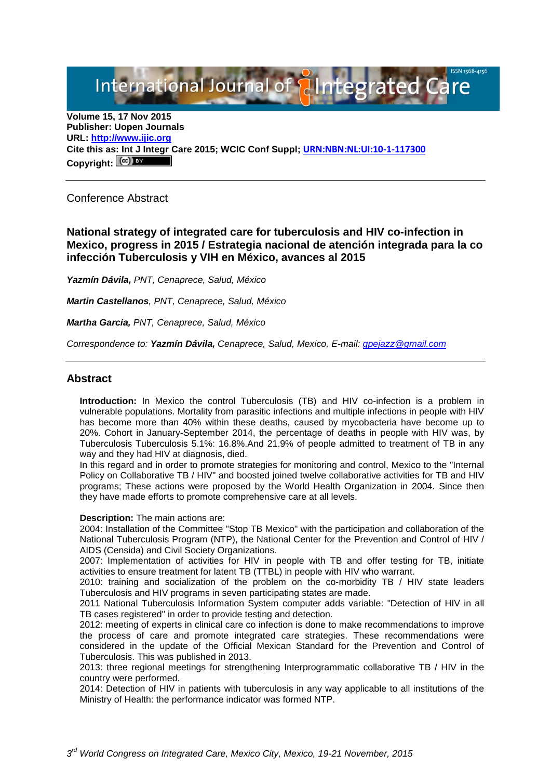International Journal of **Alntegrated Care** 

**Volume 15, 17 Nov 2015 Publisher: Uopen Journals URL: [http://www.ijic.org](http://www.ijic.org/) Cite this as: Int J Integr Care 2015; WCIC Conf Suppl; [URN:NBN:NL:UI:10-1-117300](http://persistent-identifier.nl/?identifier=URN:NBN:NL:UI:10-1-117300) Copyright:**

Conference Abstract

**National strategy of integrated care for tuberculosis and HIV co-infection in Mexico, progress in 2015 / Estrategia nacional de atención integrada para la co infección Tuberculosis y VIH en México, avances al 2015**

*Yazmín Dávila, PNT, Cenaprece, Salud, México* 

*Martin Castellanos, PNT, Cenaprece, Salud, México*

*Martha García, PNT, Cenaprece, Salud, México*

*Correspondence to: Yazmín Dávila, Cenaprece, Salud, Mexico, E-mail: [gpejazz@gmail.com](mailto:gpejazz@gmail.com)*

# **Abstract**

**Introduction:** In Mexico the control Tuberculosis (TB) and HIV co-infection is a problem in vulnerable populations. Mortality from parasitic infections and multiple infections in people with HIV has become more than 40% within these deaths, caused by mycobacteria have become up to 20%. Cohort in January-September 2014, the percentage of deaths in people with HIV was, by Tuberculosis Tuberculosis 5.1%: 16.8%.And 21.9% of people admitted to treatment of TB in any way and they had HIV at diagnosis, died.

In this regard and in order to promote strategies for monitoring and control, Mexico to the "Internal Policy on Collaborative TB / HIV" and boosted joined twelve collaborative activities for TB and HIV programs; These actions were proposed by the World Health Organization in 2004. Since then they have made efforts to promote comprehensive care at all levels.

#### **Description:** The main actions are:

2004: Installation of the Committee "Stop TB Mexico" with the participation and collaboration of the National Tuberculosis Program (NTP), the National Center for the Prevention and Control of HIV / AIDS (Censida) and Civil Society Organizations.

2007: Implementation of activities for HIV in people with TB and offer testing for TB, initiate activities to ensure treatment for latent TB (TTBL) in people with HIV who warrant.

2010: training and socialization of the problem on the co-morbidity TB / HIV state leaders Tuberculosis and HIV programs in seven participating states are made.

2011 National Tuberculosis Information System computer adds variable: "Detection of HIV in all TB cases registered" in order to provide testing and detection.

2012: meeting of experts in clinical care co infection is done to make recommendations to improve the process of care and promote integrated care strategies. These recommendations were considered in the update of the Official Mexican Standard for the Prevention and Control of Tuberculosis. This was published in 2013.

2013: three regional meetings for strengthening Interprogrammatic collaborative TB / HIV in the country were performed.

2014: Detection of HIV in patients with tuberculosis in any way applicable to all institutions of the Ministry of Health: the performance indicator was formed NTP.

*3rd World Congress on Integrated Care, Mexico City, Mexico, 19-21 November, 2015*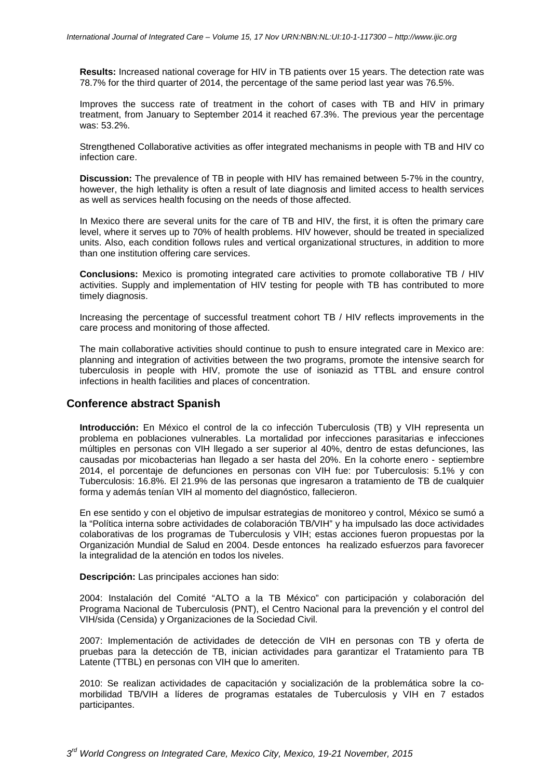**Results:** Increased national coverage for HIV in TB patients over 15 years. The detection rate was 78.7% for the third quarter of 2014, the percentage of the same period last year was 76.5%.

Improves the success rate of treatment in the cohort of cases with TB and HIV in primary treatment, from January to September 2014 it reached 67.3%. The previous year the percentage was: 53.2%.

Strengthened Collaborative activities as offer integrated mechanisms in people with TB and HIV co infection care.

**Discussion:** The prevalence of TB in people with HIV has remained between 5-7% in the country, however, the high lethality is often a result of late diagnosis and limited access to health services as well as services health focusing on the needs of those affected.

In Mexico there are several units for the care of TB and HIV, the first, it is often the primary care level, where it serves up to 70% of health problems. HIV however, should be treated in specialized units. Also, each condition follows rules and vertical organizational structures, in addition to more than one institution offering care services.

**Conclusions:** Mexico is promoting integrated care activities to promote collaborative TB / HIV activities. Supply and implementation of HIV testing for people with TB has contributed to more timely diagnosis.

Increasing the percentage of successful treatment cohort TB / HIV reflects improvements in the care process and monitoring of those affected.

The main collaborative activities should continue to push to ensure integrated care in Mexico are: planning and integration of activities between the two programs, promote the intensive search for tuberculosis in people with HIV, promote the use of isoniazid as TTBL and ensure control infections in health facilities and places of concentration.

## **Conference abstract Spanish**

**Introducción:** En México el control de la co infección Tuberculosis (TB) y VIH representa un problema en poblaciones vulnerables. La mortalidad por infecciones parasitarias e infecciones múltiples en personas con VIH llegado a ser superior al 40%, dentro de estas defunciones, las causadas por micobacterias han llegado a ser hasta del 20%. En la cohorte enero - septiembre 2014, el porcentaje de defunciones en personas con VIH fue: por Tuberculosis: 5.1% y con Tuberculosis: 16.8%. El 21.9% de las personas que ingresaron a tratamiento de TB de cualquier forma y además tenían VIH al momento del diagnóstico, fallecieron.

En ese sentido y con el objetivo de impulsar estrategias de monitoreo y control, México se sumó a la "Política interna sobre actividades de colaboración TB/VIH" y ha impulsado las doce actividades colaborativas de los programas de Tuberculosis y VIH; estas acciones fueron propuestas por la Organización Mundial de Salud en 2004. Desde entonces ha realizado esfuerzos para favorecer la integralidad de la atención en todos los niveles.

**Descripción:** Las principales acciones han sido:

2004: Instalación del Comité "ALTO a la TB México" con participación y colaboración del Programa Nacional de Tuberculosis (PNT), el Centro Nacional para la prevención y el control del VIH/sida (Censida) y Organizaciones de la Sociedad Civil.

2007: Implementación de actividades de detección de VIH en personas con TB y oferta de pruebas para la detección de TB, inician actividades para garantizar el Tratamiento para TB Latente (TTBL) en personas con VIH que lo ameriten.

2010: Se realizan actividades de capacitación y socialización de la problemática sobre la comorbilidad TB/VIH a líderes de programas estatales de Tuberculosis y VIH en 7 estados participantes.